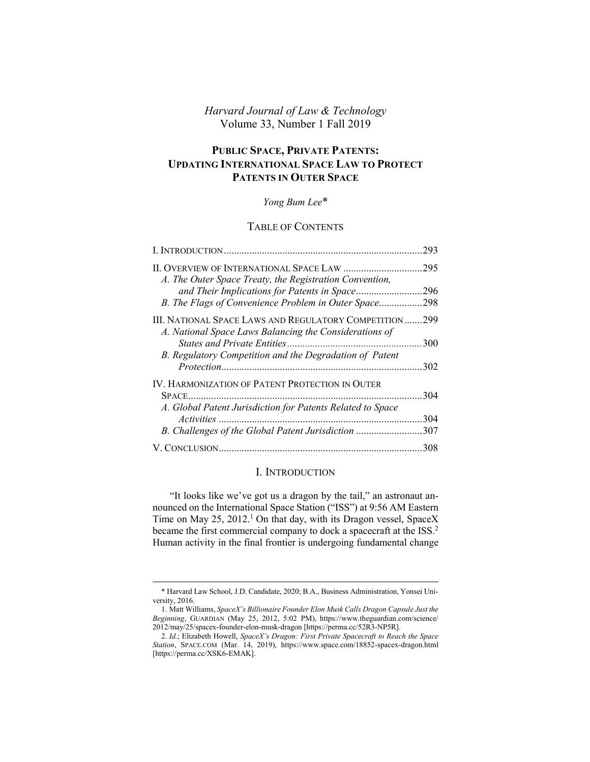# *Harvard Journal of Law & Technology* Volume 33, Number 1 Fall 2019

# **PUBLIC SPACE, PRIVATE PATENTS: UPDATING INTERNATIONAL SPACE LAW TO PROTECT PATENTS IN OUTER SPACE**

## *Yong Bum Lee*\*

# TABLE OF CONTENTS

|                                                                                                               | 293  |
|---------------------------------------------------------------------------------------------------------------|------|
| A. The Outer Space Treaty, the Registration Convention,                                                       | .295 |
| and Their Implications for Patents in Space                                                                   | 296  |
| B. The Flags of Convenience Problem in Outer Space                                                            | 298  |
| III. NATIONAL SPACE LAWS AND REGULATORY COMPETITION<br>A. National Space Laws Balancing the Considerations of | 299  |
|                                                                                                               | 300  |
| B. Regulatory Competition and the Degradation of Patent                                                       | 302  |
| <b>IV. HARMONIZATION OF PATENT PROTECTION IN OUTER</b>                                                        | 304  |
| A. Global Patent Jurisdiction for Patents Related to Space                                                    |      |
|                                                                                                               | 304  |
| B. Challenges of the Global Patent Jurisdiction                                                               | 307  |
|                                                                                                               | 308  |

# <span id="page-0-1"></span><span id="page-0-0"></span>I. INTRODUCTION

"It looks like we've got us a dragon by the tail," an astronaut announced on the International Space Station ("ISS") at 9:56 AM Eastern Time on May 25, 2012.<sup>1</sup> On that day, with its Dragon vessel, SpaceX became the first commercial company to dock a spacecraft at the ISS.<sup>2</sup> Human activity in the final frontier is undergoing fundamental change

<sup>\*</sup> Harvard Law School, J.D. Candidate, 2020; B.A., Business Administration, Yonsei University, 2016.

<sup>1.</sup> Matt Williams, *SpaceX's Billionaire Founder Elon Musk Calls Dragon Capsule Just the Beginning*, GUARDIAN (May 25, 2012, 5:02 PM), https://www.theguardian.com/science/ 2012/may/25/spacex-founder-elon-musk-dragon [https://perma.cc/52R3-NP5R].

<sup>2.</sup> *Id.*; Elizabeth Howell, *SpaceX's Dragon: First Private Spacecraft to Reach the Space Station*, SPACE.COM (Mar. 14, 2019), https://www.space.com/18852-spacex-dragon.html [https://perma.cc/XSK6-EMAK].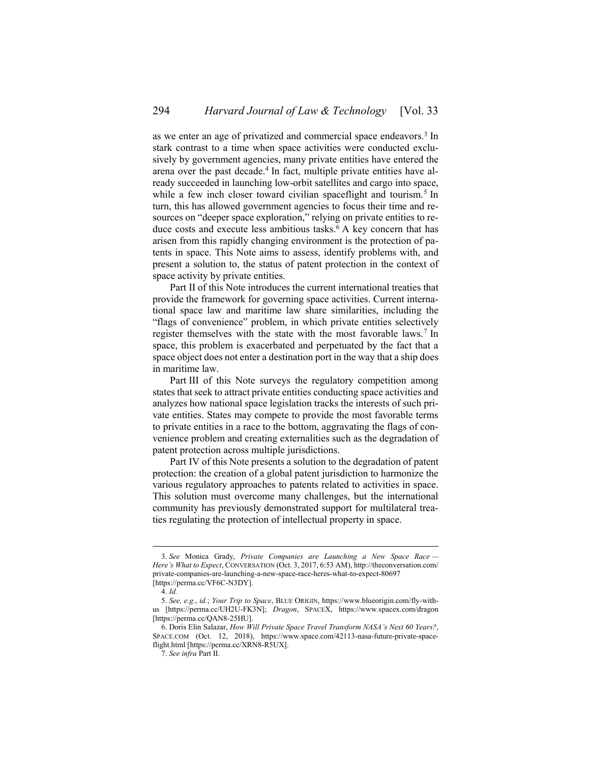as we enter an age of privatized and commercial space endeavors.<sup>3</sup> In stark contrast to a time when space activities were conducted exclusively by government agencies, many private entities have entered the arena over the past decade.<sup>4</sup> In fact, multiple private entities have already succeeded in launching low-orbit satellites and cargo into space, while a few inch closer toward civilian spaceflight and tourism.<sup>5</sup> In turn, this has allowed government agencies to focus their time and resources on "deeper space exploration," relying on private entities to reduce costs and execute less ambitious tasks.<sup>6</sup> A key concern that has arisen from this rapidly changing environment is the protection of patents in space. This Note aims to assess, identify problems with, and present a solution to, the status of patent protection in the context of space activity by private entities.

Part [II](#page-2-0) of this Note introduces the current international treaties that provide the framework for governing space activities. Current international space law and maritime law share similarities, including the "flags of convenience" problem, in which private entities selectively register themselves with the state with the most favorable laws.<sup>7</sup> In space, this problem is exacerbated and perpetuated by the fact that a space object does not enter a destination port in the way that a ship does in maritime law.

Part [III](#page-6-0) of this Note surveys the regulatory competition among states that seek to attract private entities conducting space activities and analyzes how national space legislation tracks the interests of such private entities. States may compete to provide the most favorable terms to private entities in a race to the bottom, aggravating the flags of convenience problem and creating externalities such as the degradation of patent protection across multiple jurisdictions.

Part [IV](#page-11-0) of this Note presents a solution to the degradation of patent protection: the creation of a global patent jurisdiction to harmonize the various regulatory approaches to patents related to activities in space. This solution must overcome many challenges, but the international community has previously demonstrated support for multilateral treaties regulating the protection of intellectual property in space.

<sup>3.</sup> *See* Monica Grady, *Private Companies are Launching a New Space Race — Here's What to Expect*, CONVERSATION (Oct. 3, 2017, 6:53 AM), http://theconversation.com/ private-companies-are-launching-a-new-space-race-heres-what-to-expect-80697 [https://perma.cc/VF6C-N3DY].

<sup>4.</sup> *Id.*

<sup>5.</sup> *See, e.g.*, *id.*; *Your Trip to Space*, BLUE ORIGIN, https://www.blueorigin.com/fly-withus [https://perma.cc/UH2U-FK3N]; *Dragon*, SPACEX, https://www.spacex.com/dragon [https://perma.cc/QAN8-25HU].

<sup>6.</sup> Doris Elin Salazar, *How Will Private Space Travel Transform NASA's Next 60 Years?*, SPACE.COM (Oct. 12, 2018), https://www.space.com/42113-nasa-future-private-spaceflight.html [https://perma.cc/XRN8-R5UX].

<sup>7.</sup> *See infra* Part [II.](#page-2-0)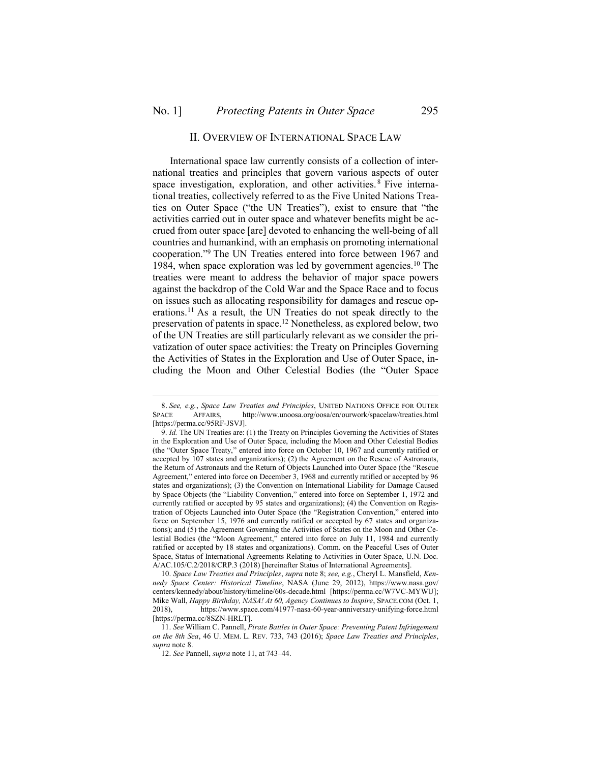<span id="page-2-2"></span> $\overline{a}$ 

### <span id="page-2-4"></span><span id="page-2-1"></span>II. OVERVIEW OF INTERNATIONAL SPACE LAW

<span id="page-2-3"></span><span id="page-2-0"></span>International space law currently consists of a collection of international treaties and principles that govern various aspects of outer space investigation, exploration, and other activities.<sup>8</sup> Five international treaties, collectively referred to as the Five United Nations Treaties on Outer Space ("the UN Treaties"), exist to ensure that "the activities carried out in outer space and whatever benefits might be accrued from outer space [are] devoted to enhancing the well-being of all countries and humankind, with an emphasis on promoting international cooperation." <sup>9</sup> The UN Treaties entered into force between 1967 and 1984, when space exploration was led by government agencies.<sup>10</sup> The treaties were meant to address the behavior of major space powers against the backdrop of the Cold War and the Space Race and to focus on issues such as allocating responsibility for damages and rescue operations.<sup>11</sup> As a result, the UN Treaties do not speak directly to the preservation of patents in space.<sup>12</sup> Nonetheless, as explored below, two of the UN Treaties are still particularly relevant as we consider the privatization of outer space activities: the Treaty on Principles Governing the Activities of States in the Exploration and Use of Outer Space, including the Moon and Other Celestial Bodies (the "Outer Space

<sup>8.</sup> *See, e.g.*, *Space Law Treaties and Principles*, UNITED NATIONS OFFICE FOR OUTER SPACE AFFAIRS, http://www.unoosa.org/oosa/en/ourwork/spacelaw/treaties.html [https://perma.cc/95RF-JSVJ].

<sup>9.</sup> *Id.* The UN Treaties are: (1) the Treaty on Principles Governing the Activities of States in the Exploration and Use of Outer Space, including the Moon and Other Celestial Bodies (the "Outer Space Treaty," entered into force on October 10, 1967 and currently ratified or accepted by 107 states and organizations); (2) the Agreement on the Rescue of Astronauts, the Return of Astronauts and the Return of Objects Launched into Outer Space (the "Rescue Agreement," entered into force on December 3, 1968 and currently ratified or accepted by 96 states and organizations); (3) the Convention on International Liability for Damage Caused by Space Objects (the "Liability Convention," entered into force on September 1, 1972 and currently ratified or accepted by 95 states and organizations); (4) the Convention on Registration of Objects Launched into Outer Space (the "Registration Convention," entered into force on September 15, 1976 and currently ratified or accepted by 67 states and organizations); and (5) the Agreement Governing the Activities of States on the Moon and Other Celestial Bodies (the "Moon Agreement," entered into force on July 11, 1984 and currently ratified or accepted by 18 states and organizations). Comm. on the Peaceful Uses of Outer Space, Status of International Agreements Relating to Activities in Outer Space, U.N. Doc. A/AC.105/C.2/2018/CRP.3 (2018) [hereinafter Status of International Agreements].

<sup>10.</sup> *Space Law Treaties and Principles*, *supra* not[e 8;](#page-2-1) *see, e.g.*, Cheryl L. Mansfield, *Kennedy Space Center: Historical Timeline*, NASA (June 29, 2012), https://www.nasa.gov/ centers/kennedy/about/history/timeline/60s-decade.html [https://perma.cc/W7VC-MYWU]; Mike Wall, *Happy Birthday, NASA! At 60, Agency Continues to Inspire*, SPACE.COM (Oct. 1, 2018), https://www.space.com/41977-nasa-60-year-anniversary-unifying-force.html [https://perma.cc/8SZN-HRLT].

<sup>11.</sup> *See* William C. Pannell, *Pirate Battles in Outer Space: Preventing Patent Infringement on the 8th Sea*, 46 U. MEM. L. REV. 733, 743 (2016); *Space Law Treaties and Principles*, *supra* not[e 8.](#page-2-1)

<sup>12.</sup> *See* Pannell, *supra* not[e 11,](#page-2-2) at 743–44.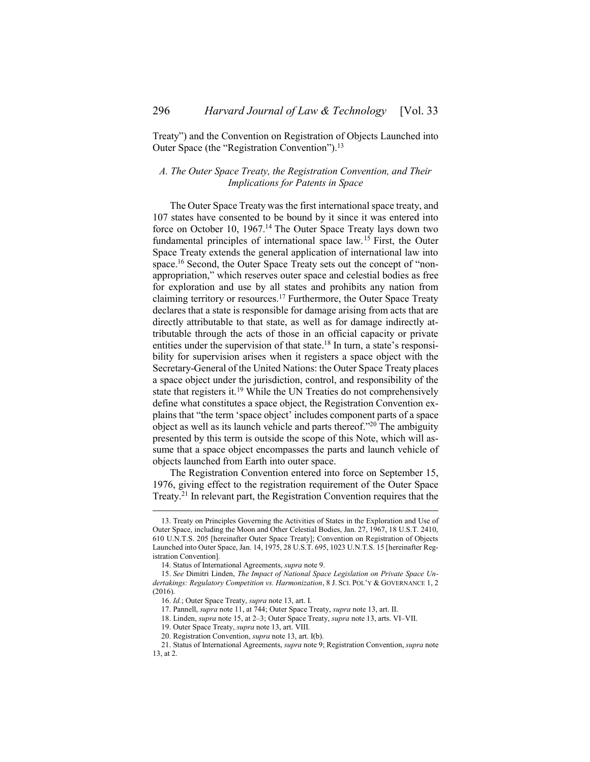Treaty") and the Convention on Registration of Objects Launched into Outer Space (the "Registration Convention").<sup>13</sup>

# <span id="page-3-1"></span><span id="page-3-0"></span>*A. The Outer Space Treaty, the Registration Convention, and Their Implications for Patents in Space*

<span id="page-3-3"></span><span id="page-3-2"></span>The Outer Space Treaty was the first international space treaty, and 107 states have consented to be bound by it since it was entered into force on October 10, 1967.<sup>14</sup> The Outer Space Treaty lays down two fundamental principles of international space law.<sup>15</sup> First, the Outer Space Treaty extends the general application of international law into space.<sup>16</sup> Second, the Outer Space Treaty sets out the concept of "nonappropriation," which reserves outer space and celestial bodies as free for exploration and use by all states and prohibits any nation from claiming territory or resources.<sup>17</sup> Furthermore, the Outer Space Treaty declares that a state is responsible for damage arising from acts that are directly attributable to that state, as well as for damage indirectly attributable through the acts of those in an official capacity or private entities under the supervision of that state.<sup>18</sup> In turn, a state's responsibility for supervision arises when it registers a space object with the Secretary-General of the United Nations: the Outer Space Treaty places a space object under the jurisdiction, control, and responsibility of the state that registers it.<sup>19</sup> While the UN Treaties do not comprehensively define what constitutes a space object, the Registration Convention explains that "the term 'space object' includes component parts of a space object as well as its launch vehicle and parts thereof." <sup>20</sup> The ambiguity presented by this term is outside the scope of this Note, which will assume that a space object encompasses the parts and launch vehicle of objects launched from Earth into outer space.

The Registration Convention entered into force on September 15, 1976, giving effect to the registration requirement of the Outer Space Treaty.<sup>21</sup> In relevant part, the Registration Convention requires that the

<sup>13.</sup> Treaty on Principles Governing the Activities of States in the Exploration and Use of Outer Space, including the Moon and Other Celestial Bodies, Jan. 27, 1967, 18 U.S.T. 2410, 610 U.N.T.S. 205 [hereinafter Outer Space Treaty]; Convention on Registration of Objects Launched into Outer Space, Jan. 14, 1975, 28 U.S.T. 695, 1023 U.N.T.S. 15 [hereinafter Registration Convention].

<sup>14.</sup> Status of International Agreements, *supra* not[e 9.](#page-2-3)

<sup>15.</sup> *See* Dimitri Linden, *The Impact of National Space Legislation on Private Space Undertakings: Regulatory Competition vs. Harmonization*, 8 J. SCI. POL'Y & GOVERNANCE 1, 2 (2016).

<sup>16.</sup> *Id.*; Outer Space Treaty, *supra* not[e 13,](#page-3-1) art. I.

<sup>17.</sup> Pannell, *supra* not[e 11,](#page-2-2) at 744; Outer Space Treaty, *supra* not[e 13,](#page-3-1) art. II.

<sup>18.</sup> Linden, *supra* not[e 15,](#page-3-2) at 2–3; Outer Space Treaty, *supra* not[e 13,](#page-3-1) arts. VI–VII.

<sup>19.</sup> Outer Space Treaty, *supra* not[e 13,](#page-3-1) art. VIII.

<sup>20.</sup> Registration Convention, *supra* not[e 13,](#page-3-1) art. I(b).

<sup>21.</sup> Status of International Agreements, *supra* not[e 9;](#page-2-3) Registration Convention, *supra* note [13,](#page-3-1) at 2.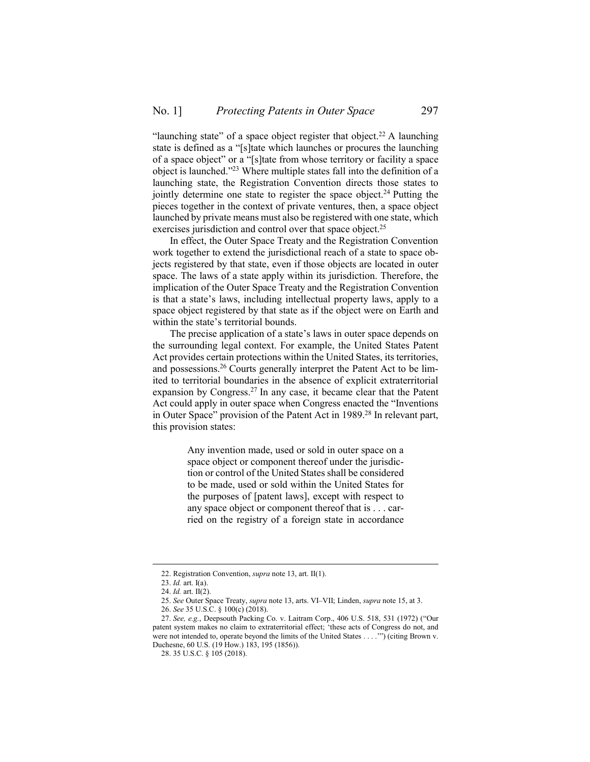"launching state" of a space object register that object.<sup>22</sup> A launching state is defined as a "[s]tate which launches or procures the launching of a space object" or a "[s]tate from whose territory or facility a space object is launched." <sup>23</sup> Where multiple states fall into the definition of a launching state, the Registration Convention directs those states to jointly determine one state to register the space object.<sup>24</sup> Putting the pieces together in the context of private ventures, then, a space object launched by private means must also be registered with one state, which exercises jurisdiction and control over that space object.<sup>25</sup>

In effect, the Outer Space Treaty and the Registration Convention work together to extend the jurisdictional reach of a state to space objects registered by that state, even if those objects are located in outer space. The laws of a state apply within its jurisdiction. Therefore, the implication of the Outer Space Treaty and the Registration Convention is that a state's laws, including intellectual property laws, apply to a space object registered by that state as if the object were on Earth and within the state's territorial bounds.

The precise application of a state's laws in outer space depends on the surrounding legal context. For example, the United States Patent Act provides certain protections within the United States, its territories, and possessions.<sup>26</sup> Courts generally interpret the Patent Act to be limited to territorial boundaries in the absence of explicit extraterritorial expansion by Congress.<sup>27</sup> In any case, it became clear that the Patent Act could apply in outer space when Congress enacted the "Inventions in Outer Space" provision of the Patent Act in 1989.<sup>28</sup> In relevant part, this provision states:

> Any invention made, used or sold in outer space on a space object or component thereof under the jurisdiction or control of the United States shall be considered to be made, used or sold within the United States for the purposes of [patent laws], except with respect to any space object or component thereof that is . . . carried on the registry of a foreign state in accordance

<sup>22.</sup> Registration Convention, *supra* not[e 13,](#page-3-1) art. II(1).

<sup>23.</sup> *Id.* art. I(a).

<sup>24.</sup> *Id.* art. II(2).

<sup>25.</sup> *See* Outer Space Treaty, *supra* note [13,](#page-3-1) arts. VI–VII; Linden, *supra* not[e 15,](#page-3-2) at 3.

<sup>26.</sup> *See* 35 U.S.C. § 100(c) (2018).

<sup>27.</sup> *See, e.g.*, Deepsouth Packing Co. v. Laitram Corp., 406 U.S. 518, 531 (1972) ("Our patent system makes no claim to extraterritorial effect; 'these acts of Congress do not, and were not intended to, operate beyond the limits of the United States . . . .'") (citing Brown v. Duchesne, 60 U.S. (19 How.) 183, 195 (1856)).

<sup>28.</sup> 35 U.S.C. § 105 (2018).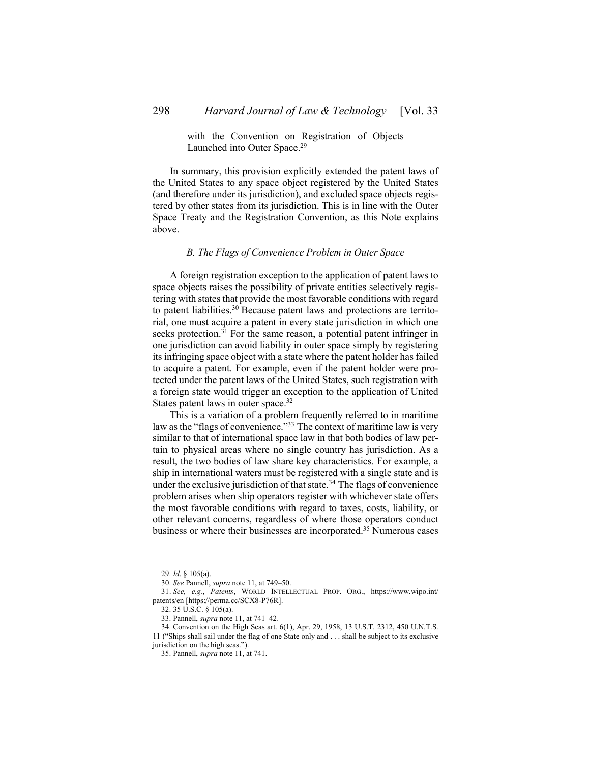### with the Convention on Registration of Objects Launched into Outer Space.<sup>29</sup>

In summary, this provision explicitly extended the patent laws of the United States to any space object registered by the United States (and therefore under its jurisdiction), and excluded space objects registered by other states from its jurisdiction. This is in line with the Outer Space Treaty and the Registration Convention, as this Note explains above.

#### *B. The Flags of Convenience Problem in Outer Space*

<span id="page-5-0"></span>A foreign registration exception to the application of patent laws to space objects raises the possibility of private entities selectively registering with states that provide the most favorable conditions with regard to patent liabilities.<sup>30</sup> Because patent laws and protections are territorial, one must acquire a patent in every state jurisdiction in which one seeks protection.<sup>31</sup> For the same reason, a potential patent infringer in one jurisdiction can avoid liability in outer space simply by registering its infringing space object with a state where the patent holder has failed to acquire a patent. For example, even if the patent holder were protected under the patent laws of the United States, such registration with a foreign state would trigger an exception to the application of United States patent laws in outer space.<sup>32</sup>

This is a variation of a problem frequently referred to in maritime law as the "flags of convenience."<sup>33</sup> The context of maritime law is very similar to that of international space law in that both bodies of law pertain to physical areas where no single country has jurisdiction. As a result, the two bodies of law share key characteristics. For example, a ship in international waters must be registered with a single state and is under the exclusive jurisdiction of that state.<sup>34</sup> The flags of convenience problem arises when ship operators register with whichever state offers the most favorable conditions with regard to taxes, costs, liability, or other relevant concerns, regardless of where those operators conduct business or where their businesses are incorporated.<sup>35</sup> Numerous cases

<sup>29.</sup> *Id*. § 105(a).

<sup>30.</sup> *See* Pannell, *supra* not[e 11,](#page-2-2) at 749–50.

<sup>31.</sup> *See, e.g.*, *Patents*, WORLD INTELLECTUAL PROP. ORG., https://www.wipo.int/ patents/en [https://perma.cc/SCX8-P76R].

<sup>32.</sup> 35 U.S.C. § 105(a).

<sup>33.</sup> Pannell, *supra* not[e 11,](#page-2-2) at 741–42.

<sup>34.</sup> Convention on the High Seas art. 6(1), Apr. 29, 1958, 13 U.S.T. 2312, 450 U.N.T.S. 11 ("Ships shall sail under the flag of one State only and . . . shall be subject to its exclusive jurisdiction on the high seas.").

<sup>35.</sup> Pannell, *supra* not[e 11,](#page-2-2) at 741.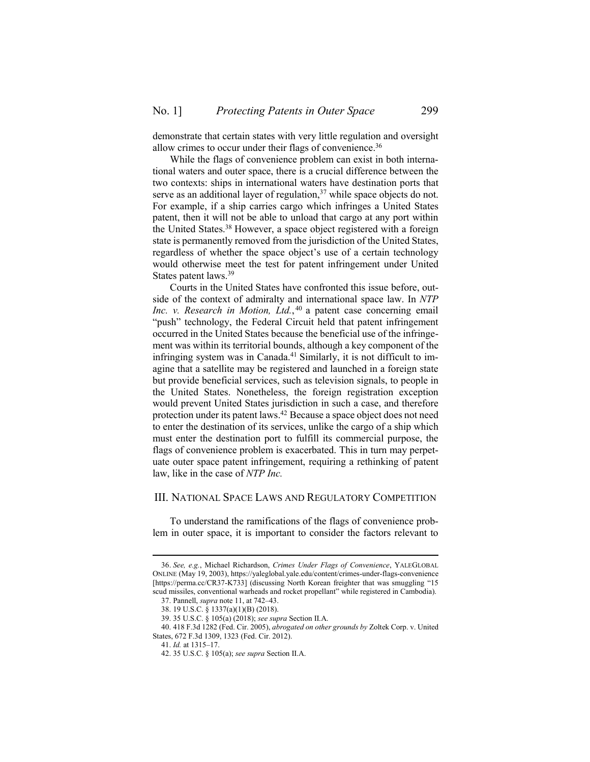demonstrate that certain states with very little regulation and oversight allow crimes to occur under their flags of convenience.<sup>36</sup>

While the flags of convenience problem can exist in both international waters and outer space, there is a crucial difference between the two contexts: ships in international waters have destination ports that serve as an additional layer of regulation,<sup>37</sup> while space objects do not. For example, if a ship carries cargo which infringes a United States patent, then it will not be able to unload that cargo at any port within the United States.<sup>38</sup> However, a space object registered with a foreign state is permanently removed from the jurisdiction of the United States, regardless of whether the space object's use of a certain technology would otherwise meet the test for patent infringement under United States patent laws.<sup>39</sup>

Courts in the United States have confronted this issue before, outside of the context of admiralty and international space law. In *NTP Inc. v. Research in Motion, Ltd.*, <sup>40</sup> a patent case concerning email "push" technology, the Federal Circuit held that patent infringement occurred in the United States because the beneficial use of the infringement was within its territorial bounds, although a key component of the infringing system was in Canada.<sup>41</sup> Similarly, it is not difficult to imagine that a satellite may be registered and launched in a foreign state but provide beneficial services, such as television signals, to people in the United States. Nonetheless, the foreign registration exception would prevent United States jurisdiction in such a case, and therefore protection under its patent laws.<sup>42</sup> Because a space object does not need to enter the destination of its services, unlike the cargo of a ship which must enter the destination port to fulfill its commercial purpose, the flags of convenience problem is exacerbated. This in turn may perpetuate outer space patent infringement, requiring a rethinking of patent law, like in the case of *NTP Inc.*

### <span id="page-6-0"></span>III. NATIONAL SPACE LAWS AND REGULATORY COMPETITION

To understand the ramifications of the flags of convenience problem in outer space, it is important to consider the factors relevant to

<sup>36.</sup> *See, e.g.*, Michael Richardson, *Crimes Under Flags of Convenience*, YALEGLOBAL ONLINE (May 19, 2003), https://yaleglobal.yale.edu/content/crimes-under-flags-convenience [https://perma.cc/CR37-K733] (discussing North Korean freighter that was smuggling "15 scud missiles, conventional warheads and rocket propellant" while registered in Cambodia).

<sup>37.</sup> Pannell, *supra* not[e 11,](#page-2-2) at 742–43.

<sup>38.</sup> 19 U.S.C. § 1337(a)(1)(B) (2018).

<sup>39.</sup> 35 U.S.C. § 105(a) (2018); *see supra* Section [II](#page-2-0)[.A.](#page-3-0)

<sup>40.</sup> 418 F.3d 1282 (Fed. Cir. 2005), *abrogated on other grounds by* Zoltek Corp. v. United States, 672 F.3d 1309, 1323 (Fed. Cir. 2012).

<sup>41.</sup> *Id.* at 1315–17.

<sup>42.</sup> 35 U.S.C. § 105(a); *see supra* Section [II.](#page-2-0)[A.](#page-3-0)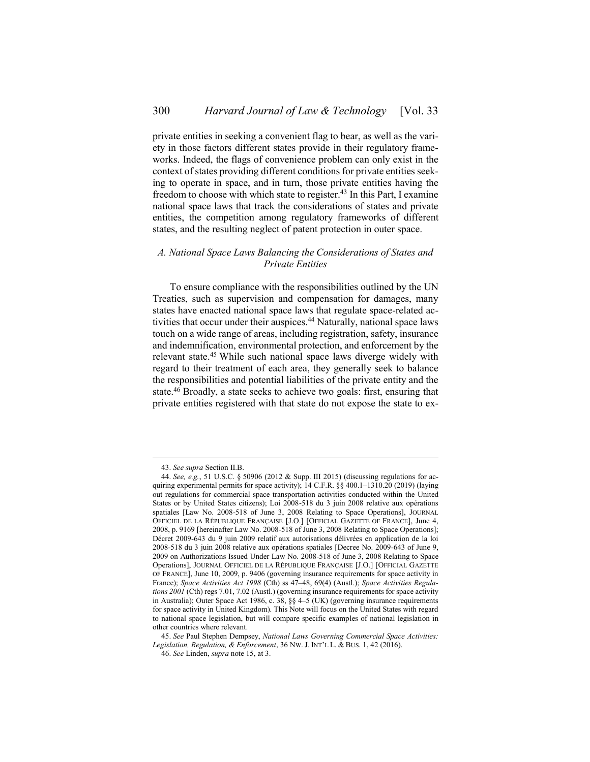private entities in seeking a convenient flag to bear, as well as the variety in those factors different states provide in their regulatory frameworks. Indeed, the flags of convenience problem can only exist in the context of states providing different conditions for private entities seeking to operate in space, and in turn, those private entities having the freedom to choose with which state to register.<sup>43</sup> In this Part, I examine national space laws that track the considerations of states and private entities, the competition among regulatory frameworks of different states, and the resulting neglect of patent protection in outer space.

### <span id="page-7-0"></span>*A. National Space Laws Balancing the Considerations of States and Private Entities*

<span id="page-7-1"></span>To ensure compliance with the responsibilities outlined by the UN Treaties, such as supervision and compensation for damages, many states have enacted national space laws that regulate space-related activities that occur under their auspices.<sup>44</sup> Naturally, national space laws touch on a wide range of areas, including registration, safety, insurance and indemnification, environmental protection, and enforcement by the relevant state.<sup>45</sup> While such national space laws diverge widely with regard to their treatment of each area, they generally seek to balance the responsibilities and potential liabilities of the private entity and the state.<sup>46</sup> Broadly, a state seeks to achieve two goals: first, ensuring that private entities registered with that state do not expose the state to ex-

<sup>43.</sup> *See supra* Section [II](#page-2-0)[.B.](#page-5-0)

<sup>44.</sup> *See, e.g.*, 51 U.S.C. § 50906 (2012 & Supp. III 2015) (discussing regulations for acquiring experimental permits for space activity);  $14$  C.F.R.  $\S$ § 400.1–1310.20 (2019) (laying out regulations for commercial space transportation activities conducted within the United States or by United States citizens); Loi 2008-518 du 3 juin 2008 relative aux opérations spatiales [Law No. 2008-518 of June 3, 2008 Relating to Space Operations], JOURNAL OFFICIEL DE LA RÉPUBLIQUE FRANÇAISE [J.O.] [OFFICIAL GAZETTE OF FRANCE], June 4, 2008, p. 9169 [hereinafter Law No. 2008-518 of June 3, 2008 Relating to Space Operations]; Décret 2009-643 du 9 juin 2009 relatif aux autorisations délivrées en application de la loi 2008-518 du 3 juin 2008 relative aux opérations spatiales [Decree No. 2009-643 of June 9, 2009 on Authorizations Issued Under Law No. 2008-518 of June 3, 2008 Relating to Space Operations], JOURNAL OFFICIEL DE LA RÉPUBLIQUE FRANÇAISE [J.O.] [OFFICIAL GAZETTE OF FRANCE], June 10, 2009, p. 9406 (governing insurance requirements for space activity in France); *Space Activities Act 1998* (Cth) ss 47–48, 69(4) (Austl.); *Space Activities Regulations 2001* (Cth) regs 7.01, 7.02 (Austl.) (governing insurance requirements for space activity in Australia); Outer Space Act 1986, c. 38, §§ 4–5 (UK) (governing insurance requirements for space activity in United Kingdom). This Note will focus on the United States with regard to national space legislation, but will compare specific examples of national legislation in other countries where relevant.

<sup>45.</sup> *See* Paul Stephen Dempsey, *National Laws Governing Commercial Space Activities: Legislation, Regulation, & Enforcement*, 36 NW. J. INT'L L. & BUS. 1, 42 (2016).

<sup>46.</sup> *See* Linden, *supra* not[e 15,](#page-3-2) at 3.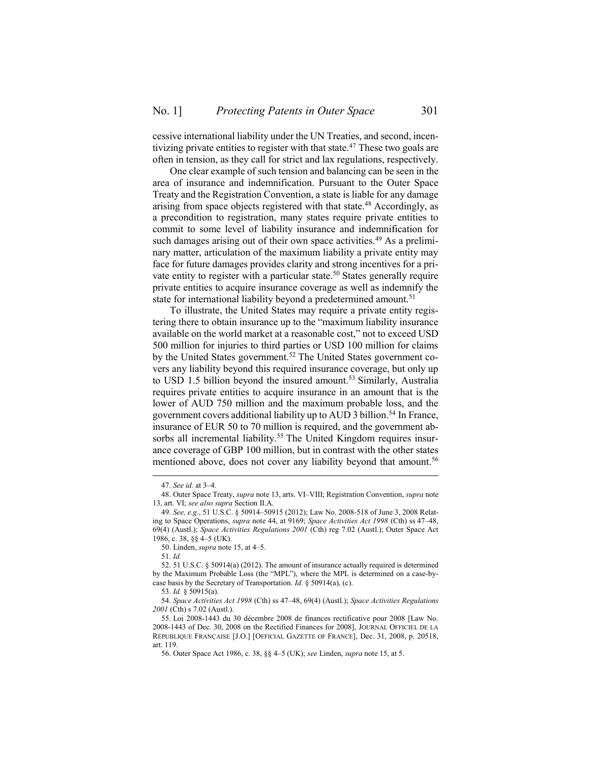cessive international liability under the UN Treaties, and second, incentivizing private entities to register with that state.<sup>47</sup> These two goals are often in tension, as they call for strict and lax regulations, respectively.

One clear example of such tension and balancing can be seen in the area of insurance and indemnification. Pursuant to the Outer Space Treaty and the Registration Convention, a state is liable for any damage arising from space objects registered with that state.<sup>48</sup> Accordingly, as a precondition to registration, many states require private entities to commit to some level of liability insurance and indemnification for such damages arising out of their own space activities.<sup>49</sup> As a preliminary matter, articulation of the maximum liability a private entity may face for future damages provides clarity and strong incentives for a private entity to register with a particular state.<sup>50</sup> States generally require private entities to acquire insurance coverage as well as indemnify the state for international liability beyond a predetermined amount.<sup>51</sup>

To illustrate, the United States may require a private entity registering there to obtain insurance up to the "maximum liability insurance available on the world market at a reasonable cost," not to exceed USD 500 million for injuries to third parties or USD 100 million for claims by the United States government.<sup>52</sup> The United States government covers any liability beyond this required insurance coverage, but only up to USD 1.5 billion beyond the insured amount.<sup>53</sup> Similarly, Australia requires private entities to acquire insurance in an amount that is the lower of AUD 750 million and the maximum probable loss, and the government covers additional liability up to AUD 3 billion.<sup>54</sup> In France, insurance of EUR 50 to 70 million is required, and the government absorbs all incremental liability.<sup>55</sup> The United Kingdom requires insurance coverage of GBP 100 million, but in contrast with the other states mentioned above, does not cover any liability beyond that amount.<sup>56</sup>

<sup>47.</sup> *See id.* at 3–4.

<sup>48.</sup> Outer Space Treaty, *supra* not[e 13,](#page-3-1) arts. VI–VIII; Registration Convention, *supra* note [13,](#page-3-1) art. VI; *see also supra* Section [II.](#page-2-0)[A.](#page-3-0)

<sup>49.</sup> *See, e.g.*, 51 U.S.C. § 50914–50915 (2012); Law No. 2008-518 of June 3, 2008 Relating to Space Operations, *supra* note [44,](#page-7-1) at 9169; *Space Activities Act 1998* (Cth) ss 47–48, 69(4) (Austl.); *Space Activities Regulations 2001* (Cth) reg 7.02 (Austl.); Outer Space Act 1986, c. 38, §§ 4–5 (UK).

<sup>50.</sup> Linden, *supra* not[e 15,](#page-3-2) at 4–5.

<sup>51.</sup> *Id.*

<sup>52.</sup> 51 U.S.C. § 50914(a) (2012). The amount of insurance actually required is determined by the Maximum Probable Loss (the "MPL"), where the MPL is determined on a case-bycase basis by the Secretary of Transportation. *Id.* § 50914(a), (c).

<sup>53.</sup> *Id.* § 50915(a).

<sup>54.</sup> *Space Activities Act 1998* (Cth) ss 47–48, 69(4) (Austl.); *Space Activities Regulations 2001* (Cth) s 7.02 (Austl.).

<sup>55.</sup> Loi 2008-1443 du 30 décembre 2008 de finances rectificative pour 2008 [Law No. 2008-1443 of Dec. 30, 2008 on the Rectified Finances for 2008], JOURNAL OFFICIEL DE LA RÉPUBLIQUE FRANÇAISE [J.O.] [OFFICIAL GAZETTE OF FRANCE], Dec. 31, 2008, p. 20518, art. 119.

<sup>56.</sup> Outer Space Act 1986, c. 38, §§ 4–5 (UK); *see* Linden, *supra* not[e 15,](#page-3-2) at 5.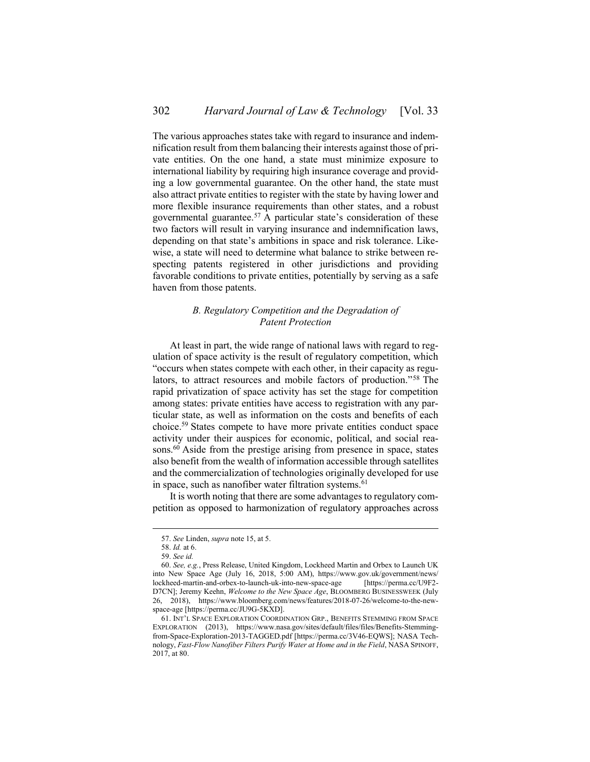The various approaches states take with regard to insurance and indemnification result from them balancing their interests against those of private entities. On the one hand, a state must minimize exposure to international liability by requiring high insurance coverage and providing a low governmental guarantee. On the other hand, the state must also attract private entities to register with the state by having lower and more flexible insurance requirements than other states, and a robust governmental guarantee.<sup>57</sup> A particular state's consideration of these two factors will result in varying insurance and indemnification laws, depending on that state's ambitions in space and risk tolerance. Likewise, a state will need to determine what balance to strike between respecting patents registered in other jurisdictions and providing favorable conditions to private entities, potentially by serving as a safe haven from those patents.

# <span id="page-9-0"></span>*B. Regulatory Competition and the Degradation of Patent Protection*

At least in part, the wide range of national laws with regard to regulation of space activity is the result of regulatory competition, which "occurs when states compete with each other, in their capacity as regulators, to attract resources and mobile factors of production." <sup>58</sup> The rapid privatization of space activity has set the stage for competition among states: private entities have access to registration with any particular state, as well as information on the costs and benefits of each choice.<sup>59</sup> States compete to have more private entities conduct space activity under their auspices for economic, political, and social reasons.<sup>60</sup> Aside from the prestige arising from presence in space, states also benefit from the wealth of information accessible through satellites and the commercialization of technologies originally developed for use in space, such as nanofiber water filtration systems. $61$ 

It is worth noting that there are some advantages to regulatory competition as opposed to harmonization of regulatory approaches across

<sup>57.</sup> *See* Linden, *supra* not[e 15,](#page-3-2) at 5.

<sup>58.</sup> *Id.* at 6.

<sup>59.</sup> *See id.*

<sup>60.</sup> *See, e.g.*, Press Release, United Kingdom, Lockheed Martin and Orbex to Launch UK into New Space Age (July 16, 2018, 5:00 AM), https://www.gov.uk/government/news/ lockheed-martin-and-orbex-to-launch-uk-into-new-space-age [https://perma.cc/U9F2- D7CN]; Jeremy Keehn, *Welcome to the New Space Age*, BLOOMBERG BUSINESSWEEK (July 26, 2018), https://www.bloomberg.com/news/features/2018-07-26/welcome-to-the-newspace-age [https://perma.cc/JU9G-5KXD].

<sup>61.</sup> INT'L SPACE EXPLORATION COORDINATION GRP., BENEFITS STEMMING FROM SPACE EXPLORATION (2013), https://www.nasa.gov/sites/default/files/files/Benefits-Stemmingfrom-Space-Exploration-2013-TAGGED.pdf [https://perma.cc/3V46-EQWS]; NASA Technology, *Fast-Flow Nanofiber Filters Purify Water at Home and in the Field*, NASA SPINOFF, 2017, at 80.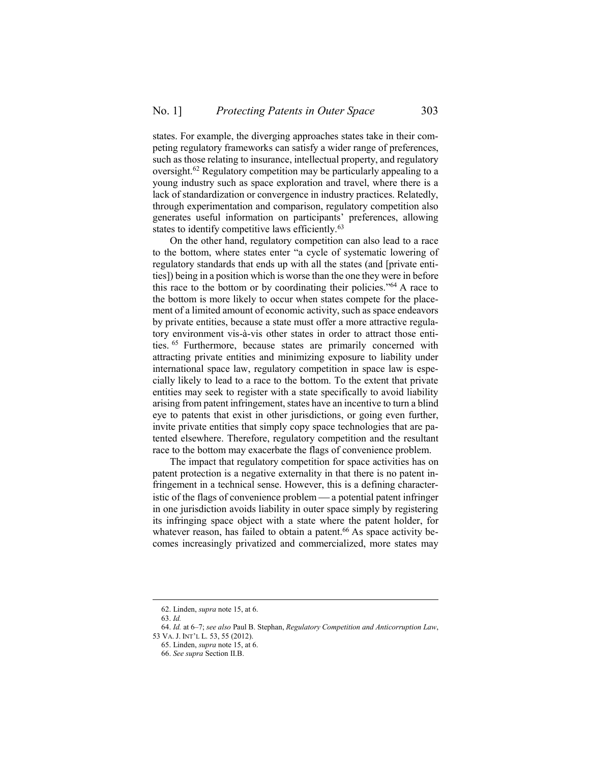states. For example, the diverging approaches states take in their competing regulatory frameworks can satisfy a wider range of preferences, such as those relating to insurance, intellectual property, and regulatory oversight.<sup>62</sup> Regulatory competition may be particularly appealing to a young industry such as space exploration and travel, where there is a lack of standardization or convergence in industry practices. Relatedly, through experimentation and comparison, regulatory competition also generates useful information on participants' preferences, allowing states to identify competitive laws efficiently.<sup>63</sup>

On the other hand, regulatory competition can also lead to a race to the bottom, where states enter "a cycle of systematic lowering of regulatory standards that ends up with all the states (and [private entities]) being in a position which is worse than the one they were in before this race to the bottom or by coordinating their policies."<sup>64</sup> A race to the bottom is more likely to occur when states compete for the placement of a limited amount of economic activity, such as space endeavors by private entities, because a state must offer a more attractive regulatory environment vis-à-vis other states in order to attract those entities. <sup>65</sup> Furthermore, because states are primarily concerned with attracting private entities and minimizing exposure to liability under international space law, regulatory competition in space law is especially likely to lead to a race to the bottom. To the extent that private entities may seek to register with a state specifically to avoid liability arising from patent infringement, states have an incentive to turn a blind eye to patents that exist in other jurisdictions, or going even further, invite private entities that simply copy space technologies that are patented elsewhere. Therefore, regulatory competition and the resultant race to the bottom may exacerbate the flags of convenience problem.

The impact that regulatory competition for space activities has on patent protection is a negative externality in that there is no patent infringement in a technical sense. However, this is a defining characteristic of the flags of convenience problem — a potential patent infringer in one jurisdiction avoids liability in outer space simply by registering its infringing space object with a state where the patent holder, for whatever reason, has failed to obtain a patent.<sup>66</sup> As space activity becomes increasingly privatized and commercialized, more states may

<sup>62.</sup> Linden, *supra* not[e 15,](#page-3-2) at 6.

<sup>63.</sup> *Id.*

<sup>64.</sup> *Id.* at 6–7; *see also* Paul B. Stephan, *Regulatory Competition and Anticorruption Law*, 53 VA. J. INT'L L. 53, 55 (2012).

<sup>65.</sup> Linden, *supra* not[e 15,](#page-3-2) at 6.

<sup>66.</sup> *See supra* Section [II](#page-2-0)[.B.](#page-5-0)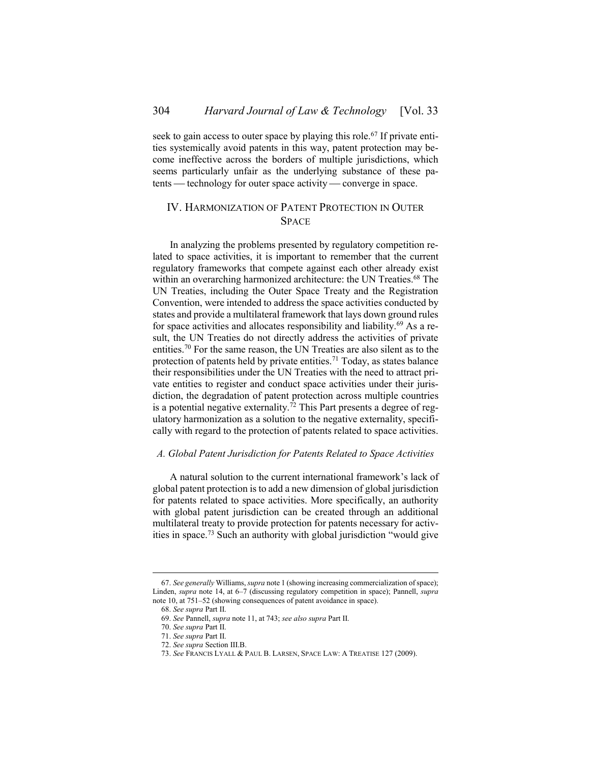seek to gain access to outer space by playing this role.<sup>67</sup> If private entities systemically avoid patents in this way, patent protection may become ineffective across the borders of multiple jurisdictions, which seems particularly unfair as the underlying substance of these patents — technology for outer space activity — converge in space.

# <span id="page-11-0"></span>IV. HARMONIZATION OF PATENT PROTECTION IN OUTER SPACE

In analyzing the problems presented by regulatory competition related to space activities, it is important to remember that the current regulatory frameworks that compete against each other already exist within an overarching harmonized architecture: the UN Treaties.<sup>68</sup> The UN Treaties, including the Outer Space Treaty and the Registration Convention, were intended to address the space activities conducted by states and provide a multilateral framework that lays down ground rules for space activities and allocates responsibility and liability.<sup>69</sup> As a result, the UN Treaties do not directly address the activities of private entities.<sup>70</sup> For the same reason, the UN Treaties are also silent as to the protection of patents held by private entities.<sup>71</sup> Today, as states balance their responsibilities under the UN Treaties with the need to attract private entities to register and conduct space activities under their jurisdiction, the degradation of patent protection across multiple countries is a potential negative externality.<sup>72</sup> This Part presents a degree of regulatory harmonization as a solution to the negative externality, specifically with regard to the protection of patents related to space activities.

## <span id="page-11-1"></span>*A. Global Patent Jurisdiction for Patents Related to Space Activities*

A natural solution to the current international framework's lack of global patent protection is to add a new dimension of global jurisdiction for patents related to space activities. More specifically, an authority with global patent jurisdiction can be created through an additional multilateral treaty to provide protection for patents necessary for activities in space.<sup>73</sup> Such an authority with global jurisdiction "would give

<sup>67.</sup> *See generally* Williams, *supra* not[e 1](#page-0-1) (showing increasing commercialization of space); Linden, *supra* note [14,](#page-3-3) at 6–7 (discussing regulatory competition in space); Pannell, *supra* not[e 10,](#page-2-4) at 751–52 (showing consequences of patent avoidance in space).

<sup>68.</sup> *See supra* Part [II.](#page-2-0)

<sup>69.</sup> *See* Pannell, *supra* not[e 11,](#page-2-2) at 743; *see also supra* Part [II.](#page-2-0)

<sup>70.</sup> *See supra* Part [II.](#page-2-0)

<sup>71.</sup> *See supra* Part [II.](#page-2-0)

<sup>72.</sup> *See supra* Section [III.](#page-6-0)[B.](#page-9-0)

<sup>73.</sup> *See* FRANCIS LYALL & PAUL B. LARSEN, SPACE LAW: A TREATISE 127 (2009).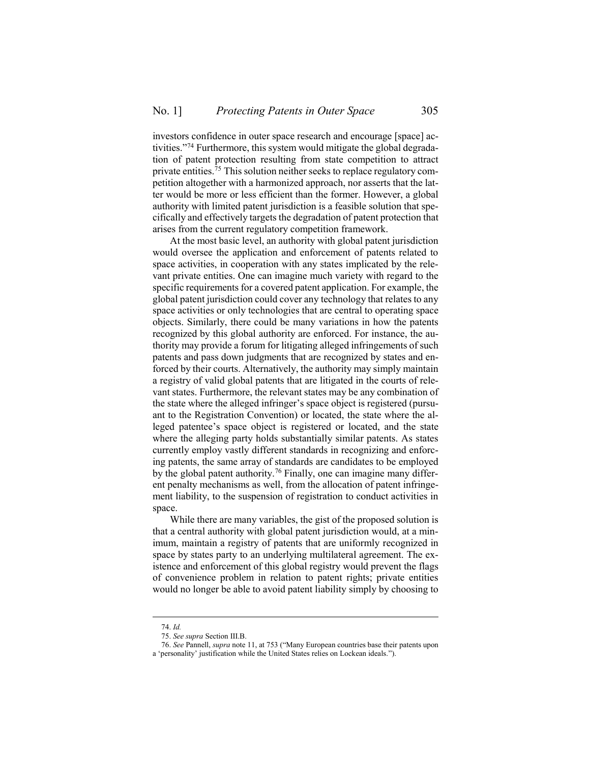investors confidence in outer space research and encourage [space] activities." <sup>74</sup> Furthermore, this system would mitigate the global degradation of patent protection resulting from state competition to attract private entities.<sup>75</sup> This solution neither seeks to replace regulatory competition altogether with a harmonized approach, nor asserts that the latter would be more or less efficient than the former. However, a global authority with limited patent jurisdiction is a feasible solution that specifically and effectively targets the degradation of patent protection that arises from the current regulatory competition framework.

At the most basic level, an authority with global patent jurisdiction would oversee the application and enforcement of patents related to space activities, in cooperation with any states implicated by the relevant private entities. One can imagine much variety with regard to the specific requirements for a covered patent application. For example, the global patent jurisdiction could cover any technology that relates to any space activities or only technologies that are central to operating space objects. Similarly, there could be many variations in how the patents recognized by this global authority are enforced. For instance, the authority may provide a forum for litigating alleged infringements of such patents and pass down judgments that are recognized by states and enforced by their courts. Alternatively, the authority may simply maintain a registry of valid global patents that are litigated in the courts of relevant states. Furthermore, the relevant states may be any combination of the state where the alleged infringer's space object is registered (pursuant to the Registration Convention) or located, the state where the alleged patentee's space object is registered or located, and the state where the alleging party holds substantially similar patents. As states currently employ vastly different standards in recognizing and enforcing patents, the same array of standards are candidates to be employed by the global patent authority.<sup>76</sup> Finally, one can imagine many different penalty mechanisms as well, from the allocation of patent infringement liability, to the suspension of registration to conduct activities in space.

While there are many variables, the gist of the proposed solution is that a central authority with global patent jurisdiction would, at a minimum, maintain a registry of patents that are uniformly recognized in space by states party to an underlying multilateral agreement. The existence and enforcement of this global registry would prevent the flags of convenience problem in relation to patent rights; private entities would no longer be able to avoid patent liability simply by choosing to

<sup>74.</sup> *Id.*

<sup>75.</sup> *See supra* Section [III.](#page-6-0)[B.](#page-9-0)

<sup>76.</sup> *See* Pannell, *supra* not[e 11,](#page-2-2) at 753 ("Many European countries base their patents upon a 'personality' justification while the United States relies on Lockean ideals.").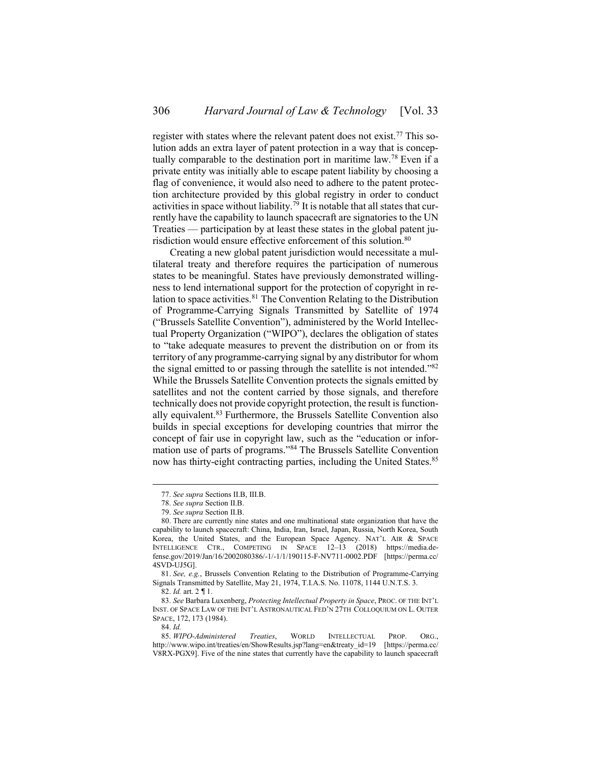register with states where the relevant patent does not exist.<sup>77</sup> This solution adds an extra layer of patent protection in a way that is conceptually comparable to the destination port in maritime law.<sup>78</sup> Even if a private entity was initially able to escape patent liability by choosing a flag of convenience, it would also need to adhere to the patent protection architecture provided by this global registry in order to conduct activities in space without liability.<sup>79</sup> It is notable that all states that currently have the capability to launch spacecraft are signatories to the UN Treaties — participation by at least these states in the global patent jurisdiction would ensure effective enforcement of this solution.<sup>80</sup>

Creating a new global patent jurisdiction would necessitate a multilateral treaty and therefore requires the participation of numerous states to be meaningful. States have previously demonstrated willingness to lend international support for the protection of copyright in relation to space activities.<sup>81</sup> The Convention Relating to the Distribution of Programme-Carrying Signals Transmitted by Satellite of 1974 ("Brussels Satellite Convention"), administered by the World Intellectual Property Organization ("WIPO"), declares the obligation of states to "take adequate measures to prevent the distribution on or from its territory of any programme-carrying signal by any distributor for whom the signal emitted to or passing through the satellite is not intended."82 While the Brussels Satellite Convention protects the signals emitted by satellites and not the content carried by those signals, and therefore technically does not provide copyright protection, the result is functionally equivalent.<sup>83</sup> Furthermore, the Brussels Satellite Convention also builds in special exceptions for developing countries that mirror the concept of fair use in copyright law, such as the "education or information use of parts of programs." <sup>84</sup> The Brussels Satellite Convention now has thirty-eight contracting parties, including the United States.<sup>85</sup>

83. *See* Barbara Luxenberg, *Protecting Intellectual Property in Space*, PROC. OF THE INT'L INST. OF SPACE LAW OF THE INT'L ASTRONAUTICAL FED'N 27TH COLLOQUIUM ON L. OUTER SPACE, 172, 173 (1984).

<span id="page-13-0"></span><sup>77.</sup> *See supra* Sections [II](#page-2-0)[.B,](#page-5-0) [III.](#page-6-0)[B.](#page-9-0)

<sup>78.</sup> *See supra* Section [II](#page-2-0)[.B.](#page-5-0)

<sup>79.</sup> *See supra* Section [II](#page-2-0)[.B.](#page-5-0)

<sup>80.</sup> There are currently nine states and one multinational state organization that have the capability to launch spacecraft: China, India, Iran, Israel, Japan, Russia, North Korea, South Korea, the United States, and the European Space Agency. NAT'L AIR & SPACE INTELLIGENCE CTR., COMPETING IN SPACE 12–13 (2018) https://media.defense.gov/2019/Jan/16/2002080386/-1/-1/1/190115-F-NV711-0002.PDF [https://perma.cc/ 4SVD-UJ5G].

<sup>81.</sup> *See, e.g.*, Brussels Convention Relating to the Distribution of Programme-Carrying Signals Transmitted by Satellite, May 21, 1974, T.I.A.S. No. 11078, 1144 U.N.T.S. 3.

<sup>82.</sup> *Id.* art. 2 ¶ 1.

<sup>84.</sup> *Id.*

<sup>85.</sup> *WIPO-Administered Treaties*, WORLD INTELLECTUAL PROP. ORG., http://www.wipo.int/treaties/en/ShowResults.jsp?lang=en&treaty\_id=19 [https://perma.cc/ V8RX-PGX9]. Five of the nine states that currently have the capability to launch spacecraft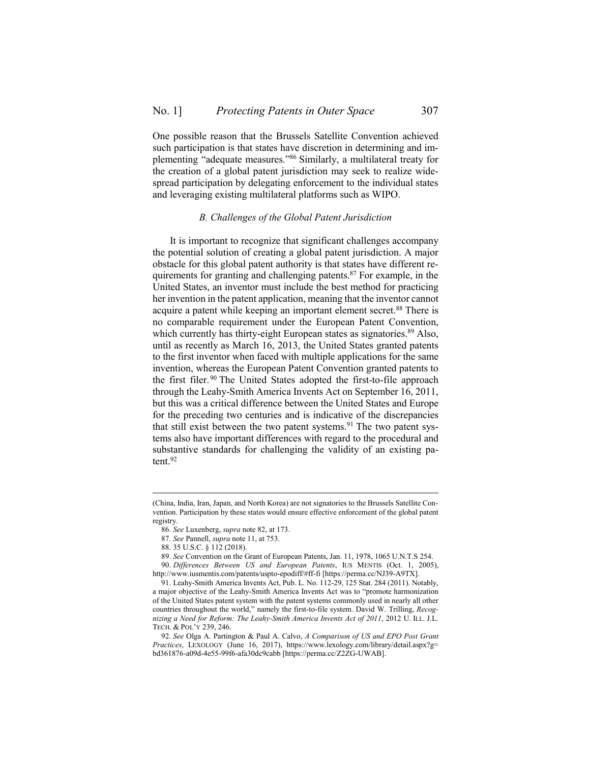One possible reason that the Brussels Satellite Convention achieved such participation is that states have discretion in determining and implementing "adequate measures." <sup>86</sup> Similarly, a multilateral treaty for the creation of a global patent jurisdiction may seek to realize widespread participation by delegating enforcement to the individual states and leveraging existing multilateral platforms such as WIPO.

### *B. Challenges of the Global Patent Jurisdiction*

<span id="page-14-0"></span>It is important to recognize that significant challenges accompany the potential solution of creating a global patent jurisdiction. A major obstacle for this global patent authority is that states have different requirements for granting and challenging patents.<sup>87</sup> For example, in the United States, an inventor must include the best method for practicing her invention in the patent application, meaning that the inventor cannot acquire a patent while keeping an important element secret.<sup>88</sup> There is no comparable requirement under the European Patent Convention, which currently has thirty-eight European states as signatories.<sup>89</sup> Also, until as recently as March 16, 2013, the United States granted patents to the first inventor when faced with multiple applications for the same invention, whereas the European Patent Convention granted patents to the first filer.<sup>90</sup> The United States adopted the first-to-file approach through the Leahy-Smith America Invents Act on September 16, 2011, but this was a critical difference between the United States and Europe for the preceding two centuries and is indicative of the discrepancies that still exist between the two patent systems.<sup>91</sup> The two patent systems also have important differences with regard to the procedural and substantive standards for challenging the validity of an existing patent.<sup>92</sup>

<sup>(</sup>China, India, Iran, Japan, and North Korea) are not signatories to the Brussels Satellite Convention. Participation by these states would ensure effective enforcement of the global patent registry.

<sup>86.</sup> *See* Luxenberg, *supra* not[e 82,](#page-13-0) at 173.

<sup>87.</sup> *See* Pannell, *supra* not[e 11,](#page-2-2) at 753.

<sup>88.</sup> 35 U.S.C. § 112 (2018).

<sup>89.</sup> *See* Convention on the Grant of European Patents, Jan. 11, 1978, 1065 U.N.T.S 254. 90. *Differences Between US and European Patents*, IUS MENTIS (Oct. 1, 2005),

http://www.iusmentis.com/patents/uspto-epodiff/#ff-fi [https://perma.cc/NJ39-A9TX].

<sup>91.</sup> Leahy-Smith America Invents Act, Pub. L. No. 112-29, 125 Stat. 284 (2011). Notably, a major objective of the Leahy-Smith America Invents Act was to "promote harmonization of the United States patent system with the patent systems commonly used in nearly all other countries throughout the world," namely the first-to-file system. David W. Trilling, *Recognizing a Need for Reform: The Leahy-Smith America Invents Act of 2011*, 2012 U. ILL. J.L. TECH. & POL'Y 239, 246.

<sup>92.</sup> *See* Olga A. Partington & Paul A. Calvo, *A Comparison of US and EPO Post Grant Practices*, LEXOLOGY (June 16, 2017), https://www.lexology.com/library/detail.aspx?g= bd361876-a09d-4e55-99f6-afa30dc9cabb [https://perma.cc/Z2ZG-UWAB].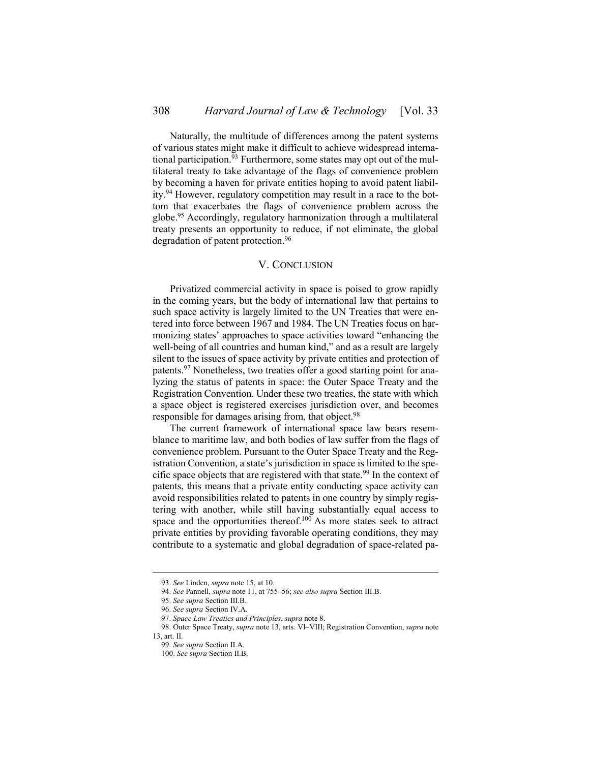Naturally, the multitude of differences among the patent systems of various states might make it difficult to achieve widespread international participation.<sup>93</sup> Furthermore, some states may opt out of the multilateral treaty to take advantage of the flags of convenience problem by becoming a haven for private entities hoping to avoid patent liability.<sup>94</sup> However, regulatory competition may result in a race to the bottom that exacerbates the flags of convenience problem across the globe.<sup>95</sup> Accordingly, regulatory harmonization through a multilateral treaty presents an opportunity to reduce, if not eliminate, the global degradation of patent protection.<sup>96</sup>

### V. CONCLUSION

<span id="page-15-0"></span>Privatized commercial activity in space is poised to grow rapidly in the coming years, but the body of international law that pertains to such space activity is largely limited to the UN Treaties that were entered into force between 1967 and 1984. The UN Treaties focus on harmonizing states' approaches to space activities toward "enhancing the well-being of all countries and human kind," and as a result are largely silent to the issues of space activity by private entities and protection of patents.<sup>97</sup> Nonetheless, two treaties offer a good starting point for analyzing the status of patents in space: the Outer Space Treaty and the Registration Convention. Under these two treaties, the state with which a space object is registered exercises jurisdiction over, and becomes responsible for damages arising from, that object.<sup>98</sup>

The current framework of international space law bears resemblance to maritime law, and both bodies of law suffer from the flags of convenience problem. Pursuant to the Outer Space Treaty and the Registration Convention, a state's jurisdiction in space is limited to the specific space objects that are registered with that state.<sup>99</sup> In the context of patents, this means that a private entity conducting space activity can avoid responsibilities related to patents in one country by simply registering with another, while still having substantially equal access to space and the opportunities thereof. $100$  As more states seek to attract private entities by providing favorable operating conditions, they may contribute to a systematic and global degradation of space-related pa-

<sup>93.</sup> *See* Linden, *supra* not[e 15,](#page-3-2) at 10.

<sup>94.</sup> *See* Pannell, *supra* not[e 11,](#page-2-2) at 755–56; *see also supra* Section [III.](#page-6-0)[B.](#page-9-0)

<sup>95.</sup> *See supra* Section [III.](#page-6-0)[B.](#page-9-0)

<sup>96.</sup> *See supra* Section [IV](#page-11-0)[.A.](#page-11-1)

<sup>97.</sup> *Space Law Treaties and Principles*, *supra* not[e 8.](#page-2-1)

<sup>98.</sup> Outer Space Treaty, *supra* not[e 13,](#page-3-1) arts. VI–VIII; Registration Convention, *supra* note [13,](#page-3-1) art. II.

<sup>99.</sup> *See supra* Section [II](#page-2-0)[.A.](#page-3-0)

<sup>100.</sup> *See* s*upra* Section [II](#page-2-0)[.B.](#page-5-0)